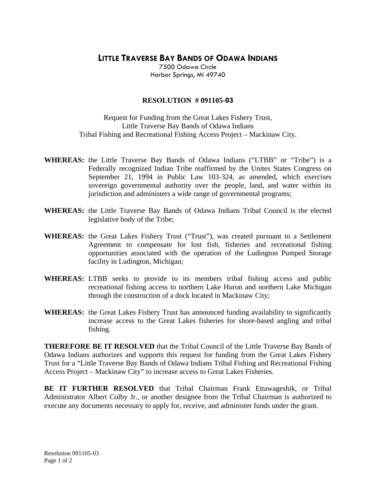## **LITTLE TRAVERSE BAY BANDS OF ODAWA INDIANS**

7500 Odawa Circle Harbor Springs, MI 49740

## **RESOLUTION # 091105-03**

Request for Funding from the Great Lakes Fishery Trust, Little Traverse Bay Bands of Odawa Indians Tribal Fishing and Recreational Fishing Access Project – Mackinaw City.

- **WHEREAS:** the Little Traverse Bay Bands of Odawa Indians ("LTBB" or "Tribe") is a Federally recognized Indian Tribe reaffirmed by the Unites States Congress on September 21, 1994 in Public Law 103-324, as amended, which exercises sovereign governmental authority over the people, land, and water within its jurisdiction and administers a wide range of governmental programs;
- **WHEREAS:** the Little Traverse Bay Bands of Odawa Indians Tribal Council is the elected legislative body of the Tribe;
- **WHEREAS:** the Great Lakes Fishery Trust ("Trust"), was created pursuant to a Settlement Agreement to compensate for lost fish, fisheries and recreational fishing opportunities associated with the operation of the Ludington Pumped Storage facility in Ludington, Michigan;
- **WHEREAS:** LTBB seeks to provide to its members tribal fishing access and public recreational fishing access to northern Lake Huron and northern Lake Michigan through the construction of a dock located in Mackinaw City;
- **WHEREAS:** the Great Lakes Fishery Trust has announced funding availability to significantly increase access to the Great Lakes fisheries for shore-based angling and tribal fishing.

**THEREFORE BE IT RESOLVED** that the Tribal Council of the Little Traverse Bay Bands of Odawa Indians authorizes and supports this request for funding from the Great Lakes Fishery Trust for a "Little Traverse Bay Bands of Odawa Indians Tribal Fishing and Recreational Fishing Access Project – Mackinaw City" to increase access to Great Lakes Fisheries.

**BE IT FURTHER RESOLVED** that Tribal Chairman Frank Ettawageshik, or Tribal Administrator Albert Colby Jr., or another designee from the Tribal Chairman is authorized to execute any documents necessary to apply for, receive, and administer funds under the grant.